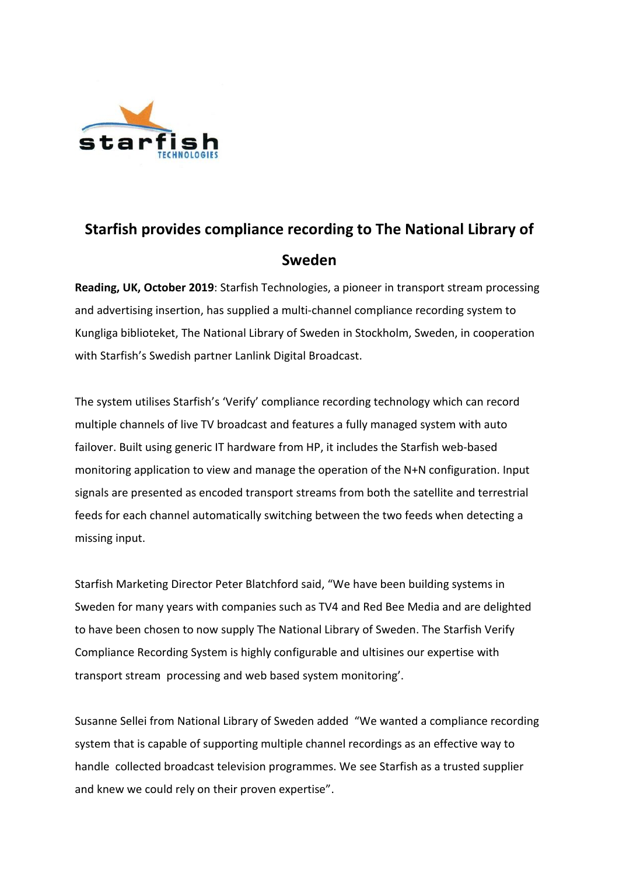

## **Starfish provides compliance recording to The National Library of Sweden**

**Reading, UK, October 2019**: Starfish Technologies, a pioneer in transport stream processing and advertising insertion, has supplied a multi-channel compliance recording system to Kungliga biblioteket, The National Library of Sweden in Stockholm, Sweden, in cooperation with Starfish's Swedish partner Lanlink Digital Broadcast.

The system utilises Starfish's 'Verify' compliance recording technology which can record multiple channels of live TV broadcast and features a fully managed system with auto failover. Built using generic IT hardware from HP, it includes the Starfish web-based monitoring application to view and manage the operation of the N+N configuration. Input signals are presented as encoded transport streams from both the satellite and terrestrial feeds for each channel automatically switching between the two feeds when detecting a missing input.

Starfish Marketing Director Peter Blatchford said, "We have been building systems in Sweden for many years with companies such as TV4 and Red Bee Media and are delighted to have been chosen to now supply The National Library of Sweden. The Starfish Verify Compliance Recording System is highly configurable and ultisines our expertise with transport stream processing and web based system monitoring'.

Susanne Sellei from National Library of Sweden added "We wanted a compliance recording system that is capable of supporting multiple channel recordings as an effective way to handle collected broadcast television programmes. We see Starfish as a trusted supplier and knew we could rely on their proven expertise".